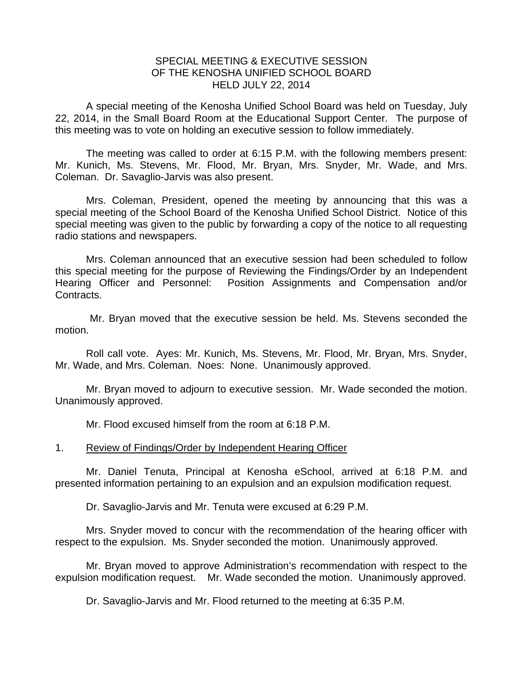## SPECIAL MEETING & EXECUTIVE SESSION OF THE KENOSHA UNIFIED SCHOOL BOARD HELD JULY 22, 2014

A special meeting of the Kenosha Unified School Board was held on Tuesday, July 22, 2014, in the Small Board Room at the Educational Support Center. The purpose of this meeting was to vote on holding an executive session to follow immediately.

 The meeting was called to order at 6:15 P.M. with the following members present: Mr. Kunich, Ms. Stevens, Mr. Flood, Mr. Bryan, Mrs. Snyder, Mr. Wade, and Mrs. Coleman. Dr. Savaglio-Jarvis was also present.

 Mrs. Coleman, President, opened the meeting by announcing that this was a special meeting of the School Board of the Kenosha Unified School District. Notice of this special meeting was given to the public by forwarding a copy of the notice to all requesting radio stations and newspapers.

 Mrs. Coleman announced that an executive session had been scheduled to follow this special meeting for the purpose of Reviewing the Findings/Order by an Independent Hearing Officer and Personnel: Position Assignments and Compensation and/or Contracts.

 Mr. Bryan moved that the executive session be held. Ms. Stevens seconded the motion.

 Roll call vote. Ayes: Mr. Kunich, Ms. Stevens, Mr. Flood, Mr. Bryan, Mrs. Snyder, Mr. Wade, and Mrs. Coleman. Noes: None. Unanimously approved.

 Mr. Bryan moved to adjourn to executive session. Mr. Wade seconded the motion. Unanimously approved.

Mr. Flood excused himself from the room at 6:18 P.M.

## 1. Review of Findings/Order by Independent Hearing Officer

Mr. Daniel Tenuta, Principal at Kenosha eSchool, arrived at 6:18 P.M. and presented information pertaining to an expulsion and an expulsion modification request.

Dr. Savaglio-Jarvis and Mr. Tenuta were excused at 6:29 P.M.

 Mrs. Snyder moved to concur with the recommendation of the hearing officer with respect to the expulsion. Ms. Snyder seconded the motion. Unanimously approved.

 Mr. Bryan moved to approve Administration's recommendation with respect to the expulsion modification request. Mr. Wade seconded the motion. Unanimously approved.

Dr. Savaglio-Jarvis and Mr. Flood returned to the meeting at 6:35 P.M.